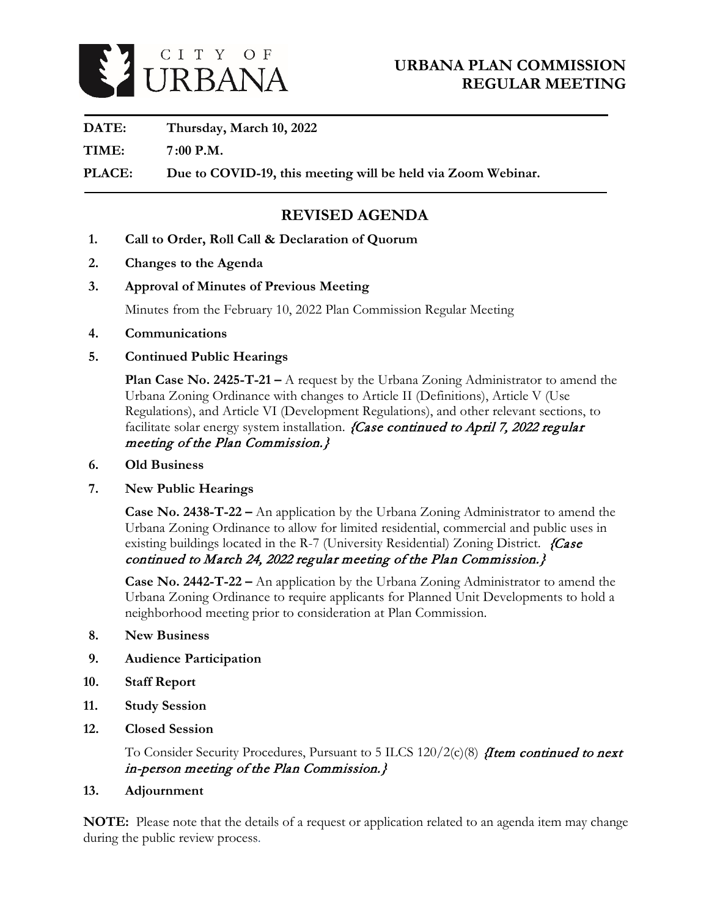

**DATE: Thursday, March 10, 2022**

**TIME: 7 :00 P.M.**

**PLACE: Due to COVID-19, this meeting will be held via Zoom Webinar.** 

# **REVISED AGENDA**

- **1. Call to Order, Roll Call & Declaration of Quorum**
- **2. Changes to the Agenda**
- **3. Approval of Minutes of Previous Meeting**

Minutes from the February 10, 2022 Plan Commission Regular Meeting

- **4. Communications**
- **5. Continued Public Hearings**

**Plan Case No. 2425-T-21 –** A request by the Urbana Zoning Administrator to amend the Urbana Zoning Ordinance with changes to Article II (Definitions), Article V (Use Regulations), and Article VI (Development Regulations), and other relevant sections, to facilitate solar energy system installation. *{Case continued to April 7, 2022 regular* meeting of the Plan Commission.}

- **6. Old Business**
- **7. New Public Hearings**

**Case No. 2438-T-22 –** An application by the Urbana Zoning Administrator to amend the Urbana Zoning Ordinance to allow for limited residential, commercial and public uses in existing buildings located in the R-7 (University Residential) Zoning District. {Case continued to March 24, 2022 regular meeting of the Plan Commission.}

**Case No. 2442-T-22 –** An application by the Urbana Zoning Administrator to amend the Urbana Zoning Ordinance to require applicants for Planned Unit Developments to hold a neighborhood meeting prior to consideration at Plan Commission.

- **8. New Business**
- **9. Audience Participation**
- **10. Staff Report**
- **11. Study Session**
- **12. Closed Session**

To Consider Security Procedures, Pursuant to 5 ILCS  $120/2(c)(8)$  *fitem continued to next* in-person meeting of the Plan Commission.}

**13. Adjournment**

**NOTE:** Please note that the details of a request or application related to an agenda item may change during the public review process.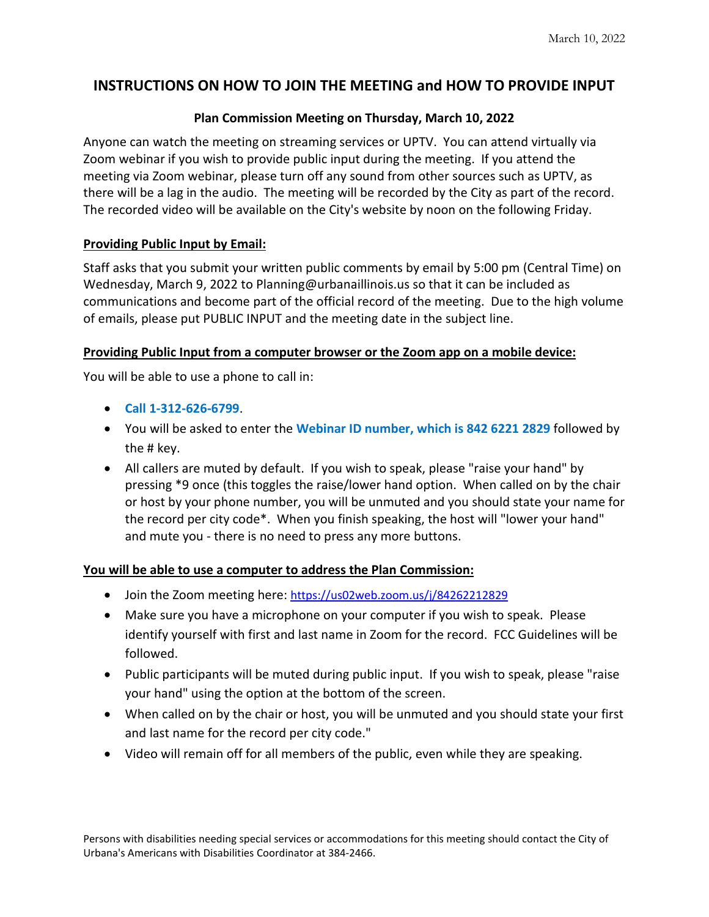# **INSTRUCTIONS ON HOW TO JOIN THE MEETING and HOW TO PROVIDE INPUT**

## **Plan Commission Meeting on Thursday, March 10, 2022**

Anyone can watch the meeting on streaming services or UPTV. You can attend virtually via Zoom webinar if you wish to provide public input during the meeting. If you attend the meeting via Zoom webinar, please turn off any sound from other sources such as UPTV, as there will be a lag in the audio. The meeting will be recorded by the City as part of the record. The recorded video will be available on the City's website by noon on the following Friday.

#### **Providing Public Input by Email:**

Staff asks that you submit your written public comments by email by 5:00 pm (Central Time) on Wednesday, March 9, 2022 to Planning@urbanaillinois.us so that it can be included as communications and become part of the official record of the meeting. Due to the high volume of emails, please put PUBLIC INPUT and the meeting date in the subject line.

#### **Providing Public Input from a computer browser or the Zoom app on a mobile device:**

You will be able to use a phone to call in:

- **Call 1-312-626-6799**.
- You will be asked to enter the **Webinar ID number, which is 842 6221 2829** followed by the # key.
- All callers are muted by default. If you wish to speak, please "raise your hand" by pressing \*9 once (this toggles the raise/lower hand option. When called on by the chair or host by your phone number, you will be unmuted and you should state your name for the record per city code\*. When you finish speaking, the host will "lower your hand" and mute you - there is no need to press any more buttons.

#### **You will be able to use a computer to address the Plan Commission:**

- Join the Zoom meeting here:<https://us02web.zoom.us/j/84262212829>
- Make sure you have a microphone on your computer if you wish to speak. Please identify yourself with first and last name in Zoom for the record. FCC Guidelines will be followed.
- Public participants will be muted during public input. If you wish to speak, please "raise your hand" using the option at the bottom of the screen.
- When called on by the chair or host, you will be unmuted and you should state your first and last name for the record per city code."
- Video will remain off for all members of the public, even while they are speaking.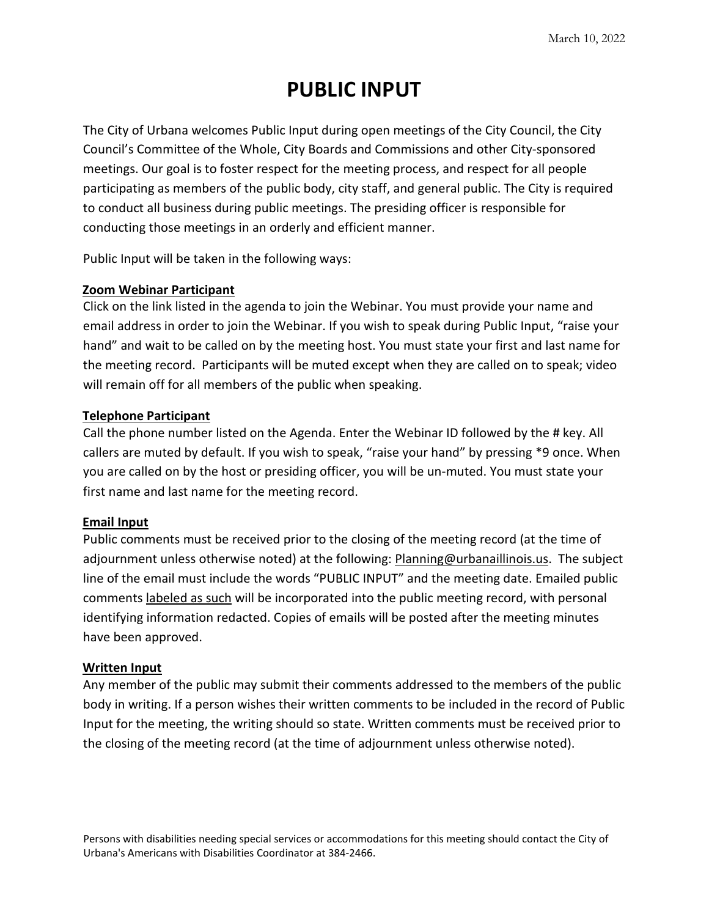# **PUBLIC INPUT**

The City of Urbana welcomes Public Input during open meetings of the City Council, the City Council's Committee of the Whole, City Boards and Commissions and other City-sponsored meetings. Our goal is to foster respect for the meeting process, and respect for all people participating as members of the public body, city staff, and general public. The City is required to conduct all business during public meetings. The presiding officer is responsible for conducting those meetings in an orderly and efficient manner.

Public Input will be taken in the following ways:

#### **Zoom Webinar Participant**

Click on the link listed in the agenda to join the Webinar. You must provide your name and email address in order to join the Webinar. If you wish to speak during Public Input, "raise your hand" and wait to be called on by the meeting host. You must state your first and last name for the meeting record. Participants will be muted except when they are called on to speak; video will remain off for all members of the public when speaking.

#### **Telephone Participant**

Call the phone number listed on the Agenda. Enter the Webinar ID followed by the # key. All callers are muted by default. If you wish to speak, "raise your hand" by pressing \*9 once. When you are called on by the host or presiding officer, you will be un-muted. You must state your first name and last name for the meeting record.

#### **Email Input**

Public comments must be received prior to the closing of the meeting record (at the time of adjournment unless otherwise noted) at the following: **Planning@urbanaillinois.us.** The subject line of the email must include the words "PUBLIC INPUT" and the meeting date. Emailed public comments labeled as such will be incorporated into the public meeting record, with personal identifying information redacted. Copies of emails will be posted after the meeting minutes have been approved.

#### **Written Input**

Any member of the public may submit their comments addressed to the members of the public body in writing. If a person wishes their written comments to be included in the record of Public Input for the meeting, the writing should so state. Written comments must be received prior to the closing of the meeting record (at the time of adjournment unless otherwise noted).